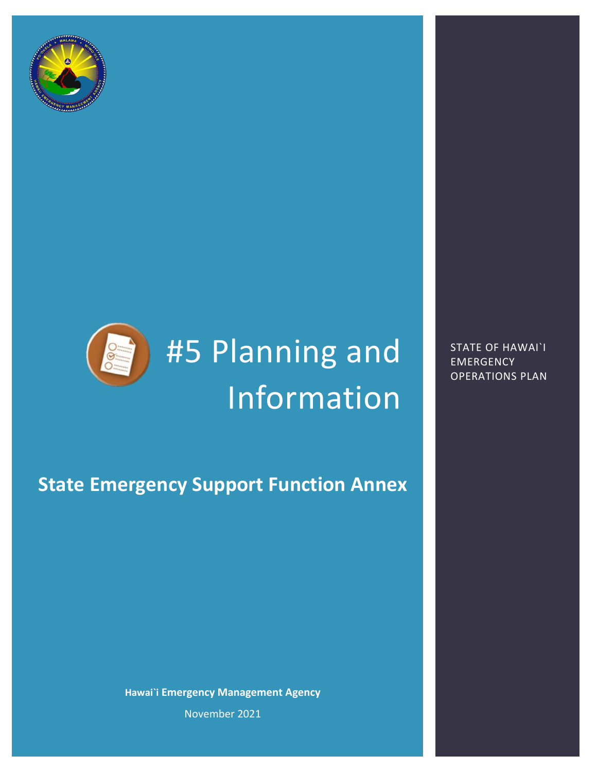



# #5 Planning and Information

STATE OF HAWAI`I **EMERGENCY** OPERATIONS PLAN

# **State Emergency Support Function Annex**

**Hawai`i Emergency Management Agency** November 2021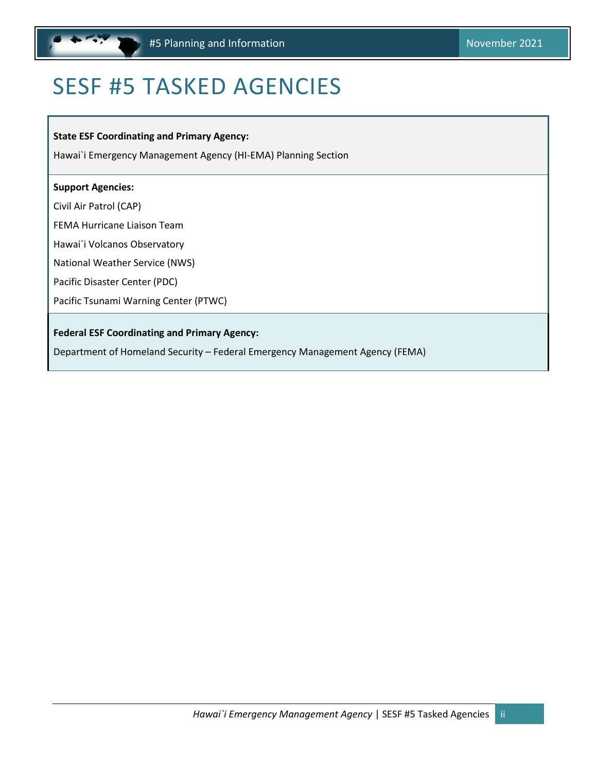<span id="page-1-1"></span>

# <span id="page-1-0"></span>SESF #5 TASKED AGENCIES

**State ESF Coordinating and Primary Agency:** 

Hawai`i Emergency Management Agency (HI-EMA) Planning Section

#### **Support Agencies:**

Civil Air Patrol (CAP)

FEMA Hurricane Liaison Team

Hawai`i Volcanos Observatory

National Weather Service (NWS)

Pacific Disaster Center (PDC)

Pacific Tsunami Warning Center (PTWC)

#### **Federal ESF Coordinating and Primary Agency:**

Department of Homeland Security – Federal Emergency Management Agency (FEMA)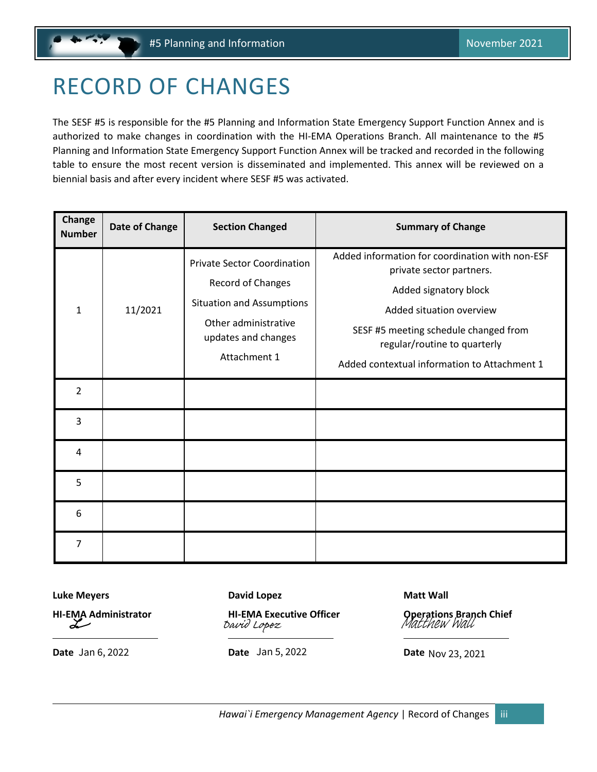# <span id="page-2-1"></span><span id="page-2-0"></span>RECORD OF CHANGES

The SESF #5 is responsible for the #5 Planning and Information State Emergency Support Function Annex and is authorized to make changes in coordination with the HI-EMA Operations Branch. All maintenance to the #5 Planning and Information State Emergency Support Function Annex will be tracked and recorded in the following table to ensure the most recent version is disseminated and implemented. This annex will be reviewed on a biennial basis and after every incident where SESF #5 was activated.

| Change<br><b>Number</b> | Date of Change | <b>Section Changed</b>                                                                                                                                     | <b>Summary of Change</b>                                                                                                                                                                                                                                  |
|-------------------------|----------------|------------------------------------------------------------------------------------------------------------------------------------------------------------|-----------------------------------------------------------------------------------------------------------------------------------------------------------------------------------------------------------------------------------------------------------|
| $\mathbf{1}$            | 11/2021        | <b>Private Sector Coordination</b><br>Record of Changes<br><b>Situation and Assumptions</b><br>Other administrative<br>updates and changes<br>Attachment 1 | Added information for coordination with non-ESF<br>private sector partners.<br>Added signatory block<br>Added situation overview<br>SESF #5 meeting schedule changed from<br>regular/routine to quarterly<br>Added contextual information to Attachment 1 |
| $\overline{2}$          |                |                                                                                                                                                            |                                                                                                                                                                                                                                                           |
| 3                       |                |                                                                                                                                                            |                                                                                                                                                                                                                                                           |
| 4                       |                |                                                                                                                                                            |                                                                                                                                                                                                                                                           |
| 5                       |                |                                                                                                                                                            |                                                                                                                                                                                                                                                           |
| 6                       |                |                                                                                                                                                            |                                                                                                                                                                                                                                                           |
| $\overline{7}$          |                |                                                                                                                                                            |                                                                                                                                                                                                                                                           |

**Luke Meyers David Lopez CONSUME 2008** 

سیک

**Date** Jan 6, 2022 **Date** Jan 5, 2022 **Date** 

**[HI-EMA Administrator](https://stateofhawaii.na1.adobesign.com/verifier?tx=CBJCHBCAABAA5_2ak4p8JaweypCx_hmOngkYhIfUAKuO) HI-EMA Executive Officer Operations Branch Chief** [Matthew Wall](https://stateofhawaii.na1.adobesign.com/verifier?tx=CBJCHBCAABAA5_2ak4p8JaweypCx_hmOngkYhIfUAKuO) [David Lopez](https://stateofhawaii.na1.adobesign.com/verifier?tx=CBJCHBCAABAA5_2ak4p8JaweypCx_hmOngkYhIfUAKuO)

Date Nov 23, 2021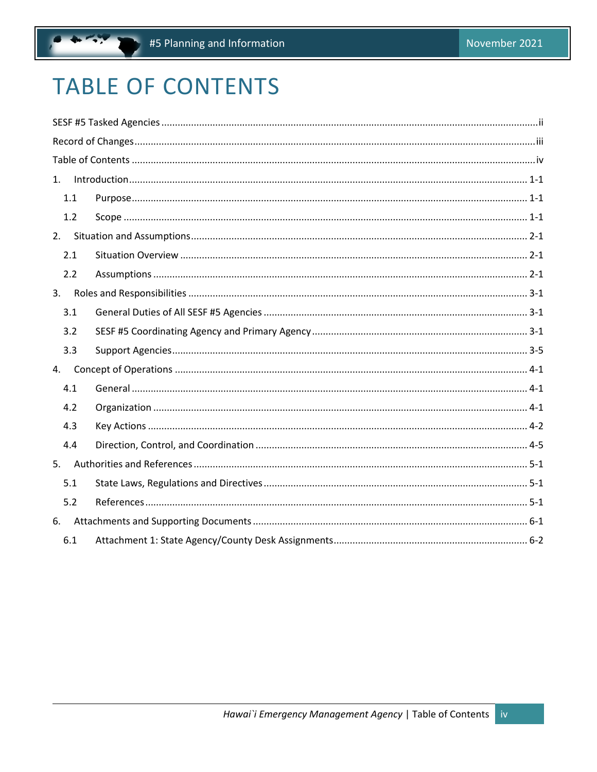# <span id="page-3-0"></span>**TABLE OF CONTENTS**

| 1.  |  |
|-----|--|
| 1.1 |  |
| 1.2 |  |
| 2.  |  |
| 2.1 |  |
| 2.2 |  |
| 3.  |  |
| 3.1 |  |
| 3.2 |  |
| 3.3 |  |
| 4.  |  |
| 4.1 |  |
| 4.2 |  |
| 4.3 |  |
| 4.4 |  |
| 5.  |  |
| 5.1 |  |
| 5.2 |  |
| 6.  |  |
| 6.1 |  |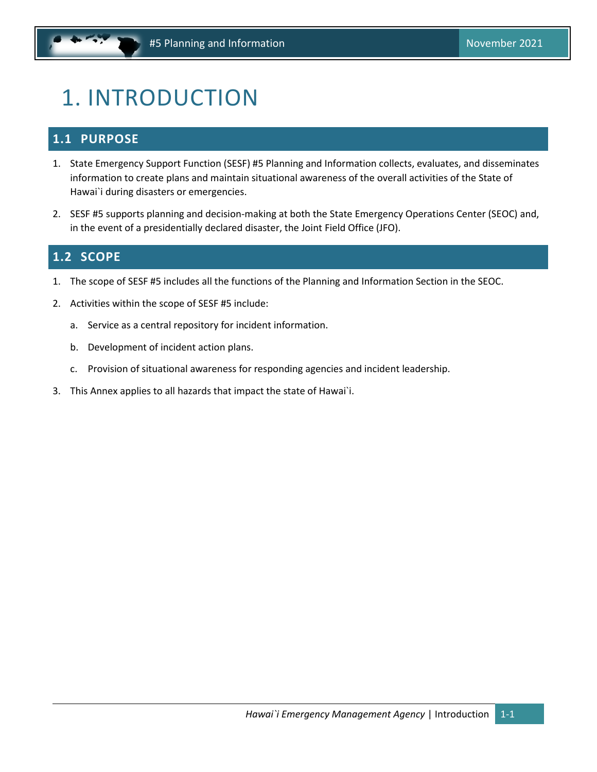# <span id="page-4-3"></span><span id="page-4-0"></span>1. INTRODUCTION

### <span id="page-4-1"></span>**1.1 PURPOSE**

- 1. State Emergency Support Function (SESF) #5 Planning and Information collects, evaluates, and disseminates information to create plans and maintain situational awareness of the overall activities of the State of Hawai`i during disasters or emergencies.
- 2. SESF #5 supports planning and decision-making at both the State Emergency Operations Center (SEOC) and, in the event of a presidentially declared disaster, the Joint Field Office (JFO).

### <span id="page-4-2"></span>**1.2 SCOPE**

- 1. The scope of SESF #5 includes all the functions of the Planning and Information Section in the SEOC.
- 2. Activities within the scope of SESF #5 include:
	- a. Service as a central repository for incident information.
	- b. Development of incident action plans.
	- c. Provision of situational awareness for responding agencies and incident leadership.
- 3. This Annex applies to all hazards that impact the state of Hawai`i.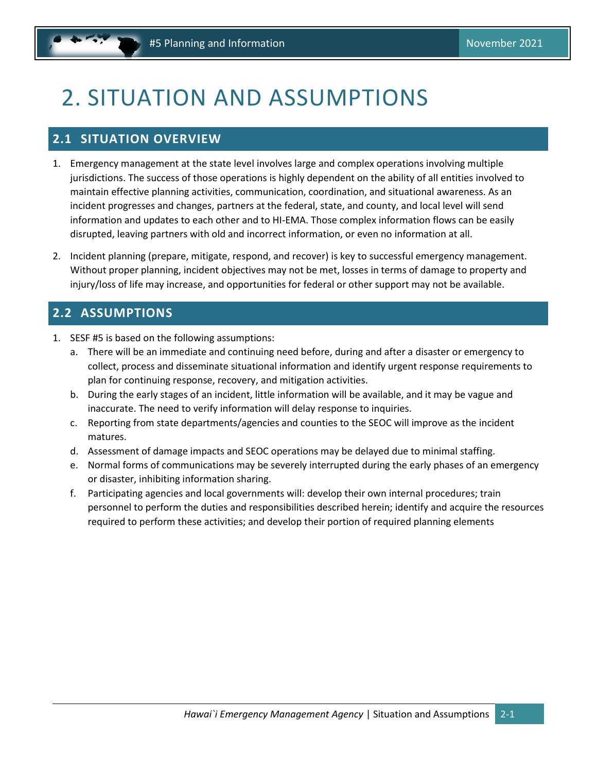# <span id="page-5-3"></span><span id="page-5-0"></span>2. SITUATION AND ASSUMPTIONS

### <span id="page-5-1"></span>**2.1 SITUATION OVERVIEW**

- 1. Emergency management at the state level involves large and complex operations involving multiple jurisdictions. The success of those operations is highly dependent on the ability of all entities involved to maintain effective planning activities, communication, coordination, and situational awareness. As an incident progresses and changes, partners at the federal, state, and county, and local level will send information and updates to each other and to HI-EMA. Those complex information flows can be easily disrupted, leaving partners with old and incorrect information, or even no information at all.
- 2. Incident planning (prepare, mitigate, respond, and recover) is key to successful emergency management. Without proper planning, incident objectives may not be met, losses in terms of damage to property and injury/loss of life may increase, and opportunities for federal or other support may not be available.

### <span id="page-5-2"></span>**2.2 ASSUMPTIONS**

- 1. SESF #5 is based on the following assumptions:
	- a. There will be an immediate and continuing need before, during and after a disaster or emergency to collect, process and disseminate situational information and identify urgent response requirements to plan for continuing response, recovery, and mitigation activities.
	- b. During the early stages of an incident, little information will be available, and it may be vague and inaccurate. The need to verify information will delay response to inquiries.
	- c. Reporting from state departments/agencies and counties to the SEOC will improve as the incident matures.
	- d. Assessment of damage impacts and SEOC operations may be delayed due to minimal staffing.
	- e. Normal forms of communications may be severely interrupted during the early phases of an emergency or disaster, inhibiting information sharing.
	- f. Participating agencies and local governments will: develop their own internal procedures; train personnel to perform the duties and responsibilities described herein; identify and acquire the resources required to perform these activities; and develop their portion of required planning elements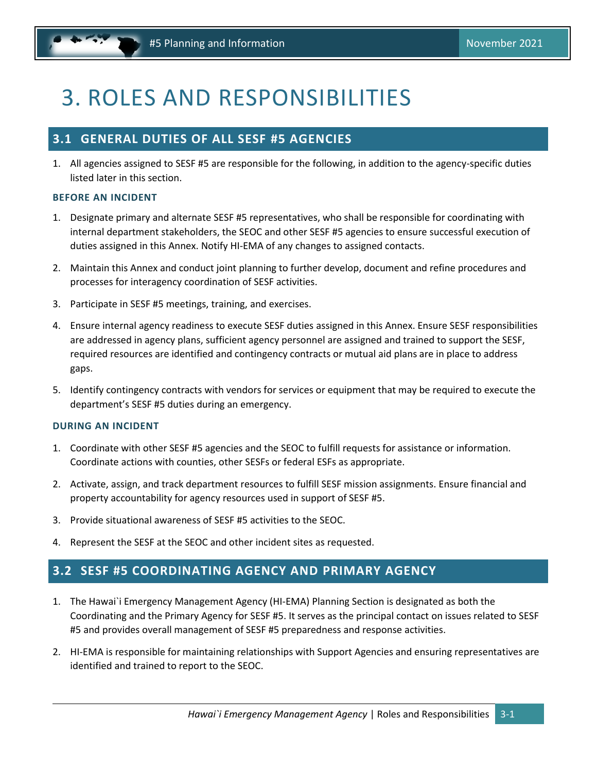# <span id="page-6-3"></span><span id="page-6-0"></span>3. ROLES AND RESPONSIBILITIES

### <span id="page-6-1"></span>**3.1 GENERAL DUTIES OF ALL SESF #5 AGENCIES**

1. All agencies assigned to SESF #5 are responsible for the following, in addition to the agency-specific duties listed later in this section.

#### **BEFORE AN INCIDENT**

- 1. Designate primary and alternate SESF #5 representatives, who shall be responsible for coordinating with internal department stakeholders, the SEOC and other SESF #5 agencies to ensure successful execution of duties assigned in this Annex. Notify HI-EMA of any changes to assigned contacts.
- 2. Maintain this Annex and conduct joint planning to further develop, document and refine procedures and processes for interagency coordination of SESF activities.
- 3. Participate in SESF #5 meetings, training, and exercises.
- 4. Ensure internal agency readiness to execute SESF duties assigned in this Annex. Ensure SESF responsibilities are addressed in agency plans, sufficient agency personnel are assigned and trained to support the SESF, required resources are identified and contingency contracts or mutual aid plans are in place to address gaps.
- 5. Identify contingency contracts with vendors for services or equipment that may be required to execute the department's SESF #5 duties during an emergency.

#### **DURING AN INCIDENT**

- 1. Coordinate with other SESF #5 agencies and the SEOC to fulfill requests for assistance or information. Coordinate actions with counties, other SESFs or federal ESFs as appropriate.
- 2. Activate, assign, and track department resources to fulfill SESF mission assignments. Ensure financial and property accountability for agency resources used in support of SESF #5.
- 3. Provide situational awareness of SESF #5 activities to the SEOC.
- 4. Represent the SESF at the SEOC and other incident sites as requested.

### <span id="page-6-2"></span>**3.2 SESF #5 COORDINATING AGENCY AND PRIMARY AGENCY**

- 1. The Hawai`i Emergency Management Agency (HI-EMA) Planning Section is designated as both the Coordinating and the Primary Agency for SESF #5. It serves as the principal contact on issues related to SESF #5 and provides overall management of SESF #5 preparedness and response activities.
- 2. HI-EMA is responsible for maintaining relationships with Support Agencies and ensuring representatives are identified and trained to report to the SEOC.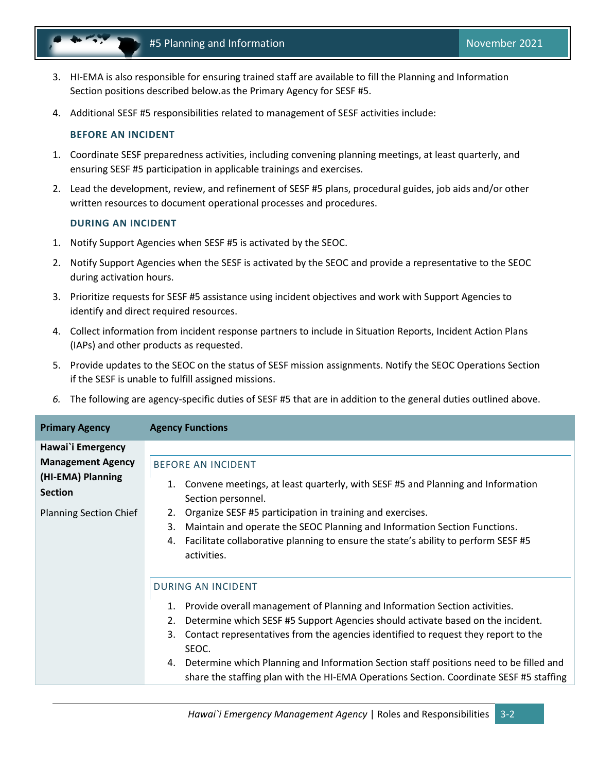

- 3. HI-EMA is also responsible for ensuring trained staff are available to fill the Planning and Information Section positions described below.as the Primary Agency for SESF #5.
- 4. Additional SESF #5 responsibilities related to management of SESF activities include:

#### **BEFORE AN INCIDENT**

- 1. Coordinate SESF preparedness activities, including convening planning meetings, at least quarterly, and ensuring SESF #5 participation in applicable trainings and exercises.
- 2. Lead the development, review, and refinement of SESF #5 plans, procedural guides, job aids and/or other written resources to document operational processes and procedures.

#### **DURING AN INCIDENT**

- 1. Notify Support Agencies when SESF #5 is activated by the SEOC.
- 2. Notify Support Agencies when the SESF is activated by the SEOC and provide a representative to the SEOC during activation hours.
- 3. Prioritize requests for SESF #5 assistance using incident objectives and work with Support Agencies to identify and direct required resources.
- 4. Collect information from incident response partners to include in Situation Reports, Incident Action Plans (IAPs) and other products as requested.
- 5. Provide updates to the SEOC on the status of SESF mission assignments. Notify the SEOC Operations Section if the SESF is unable to fulfill assigned missions.
- *6.* The following are agency-specific duties of SESF #5 that are in addition to the general duties outlined above.

| <b>Primary Agency</b>               | <b>Agency Functions</b>                                                                                                                                                              |  |  |  |
|-------------------------------------|--------------------------------------------------------------------------------------------------------------------------------------------------------------------------------------|--|--|--|
| Hawai'i Emergency                   |                                                                                                                                                                                      |  |  |  |
| <b>Management Agency</b>            | <b>BEFORE AN INCIDENT</b>                                                                                                                                                            |  |  |  |
| (HI-EMA) Planning<br><b>Section</b> | Convene meetings, at least quarterly, with SESF #5 and Planning and Information<br>1.<br>Section personnel.                                                                          |  |  |  |
| <b>Planning Section Chief</b>       | Organize SESF #5 participation in training and exercises.<br>2.                                                                                                                      |  |  |  |
|                                     | Maintain and operate the SEOC Planning and Information Section Functions.<br>3.                                                                                                      |  |  |  |
|                                     | Facilitate collaborative planning to ensure the state's ability to perform SESF #5<br>4.<br>activities.                                                                              |  |  |  |
|                                     | <b>DURING AN INCIDENT</b>                                                                                                                                                            |  |  |  |
|                                     | Provide overall management of Planning and Information Section activities.                                                                                                           |  |  |  |
|                                     | Determine which SESF #5 Support Agencies should activate based on the incident.<br>2.                                                                                                |  |  |  |
|                                     | Contact representatives from the agencies identified to request they report to the<br>3.<br>SEOC.                                                                                    |  |  |  |
|                                     | 4. Determine which Planning and Information Section staff positions need to be filled and<br>share the staffing plan with the HI-EMA Operations Section. Coordinate SESF #5 staffing |  |  |  |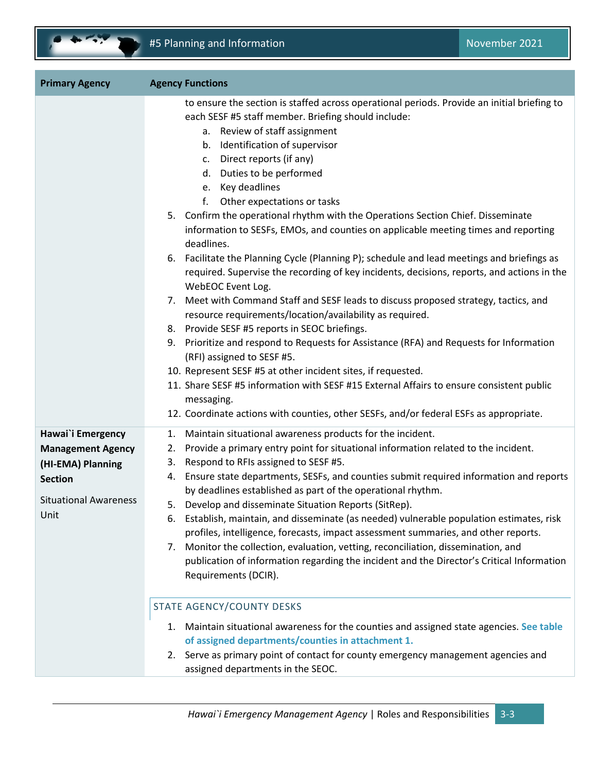

| <b>Primary Agency</b>                                                                                                        | <b>Agency Functions</b>                                                                                                                                                                                                                                                                                                                                                                                                                                                                                                                                                                                                                                                                                                                                                                                                                                                                                                                                                                                                                                                                                                                                                                                                                                                                                                                               |  |  |
|------------------------------------------------------------------------------------------------------------------------------|-------------------------------------------------------------------------------------------------------------------------------------------------------------------------------------------------------------------------------------------------------------------------------------------------------------------------------------------------------------------------------------------------------------------------------------------------------------------------------------------------------------------------------------------------------------------------------------------------------------------------------------------------------------------------------------------------------------------------------------------------------------------------------------------------------------------------------------------------------------------------------------------------------------------------------------------------------------------------------------------------------------------------------------------------------------------------------------------------------------------------------------------------------------------------------------------------------------------------------------------------------------------------------------------------------------------------------------------------------|--|--|
|                                                                                                                              | to ensure the section is staffed across operational periods. Provide an initial briefing to<br>each SESF #5 staff member. Briefing should include:<br>a. Review of staff assignment<br>b. Identification of supervisor<br>c. Direct reports (if any)<br>d. Duties to be performed<br>e. Key deadlines<br>f.<br>Other expectations or tasks<br>5. Confirm the operational rhythm with the Operations Section Chief. Disseminate<br>information to SESFs, EMOs, and counties on applicable meeting times and reporting<br>deadlines.<br>6. Facilitate the Planning Cycle (Planning P); schedule and lead meetings and briefings as<br>required. Supervise the recording of key incidents, decisions, reports, and actions in the<br>WebEOC Event Log.<br>7. Meet with Command Staff and SESF leads to discuss proposed strategy, tactics, and<br>resource requirements/location/availability as required.<br>8. Provide SESF #5 reports in SEOC briefings.<br>9. Prioritize and respond to Requests for Assistance (RFA) and Requests for Information<br>(RFI) assigned to SESF #5.<br>10. Represent SESF #5 at other incident sites, if requested.<br>11. Share SESF #5 information with SESF #15 External Affairs to ensure consistent public<br>messaging.<br>12. Coordinate actions with counties, other SESFs, and/or federal ESFs as appropriate. |  |  |
| Hawai'i Emergency<br><b>Management Agency</b><br>(HI-EMA) Planning<br><b>Section</b><br><b>Situational Awareness</b><br>Unit | Maintain situational awareness products for the incident.<br>1.<br>Provide a primary entry point for situational information related to the incident.<br>2.<br>Respond to RFIs assigned to SESF #5.<br>3.<br>Ensure state departments, SESFs, and counties submit required information and reports<br>4.<br>by deadlines established as part of the operational rhythm.<br>5. Develop and disseminate Situation Reports (SitRep).<br>Establish, maintain, and disseminate (as needed) vulnerable population estimates, risk<br>ь.<br>profiles, intelligence, forecasts, impact assessment summaries, and other reports.<br>Monitor the collection, evaluation, vetting, reconciliation, dissemination, and<br>7.<br>publication of information regarding the incident and the Director's Critical Information<br>Requirements (DCIR).<br><b>STATE AGENCY/COUNTY DESKS</b><br>Maintain situational awareness for the counties and assigned state agencies. See table<br>1.<br>of assigned departments/counties in attachment 1.<br>2. Serve as primary point of contact for county emergency management agencies and<br>assigned departments in the SEOC.                                                                                                                                                                                              |  |  |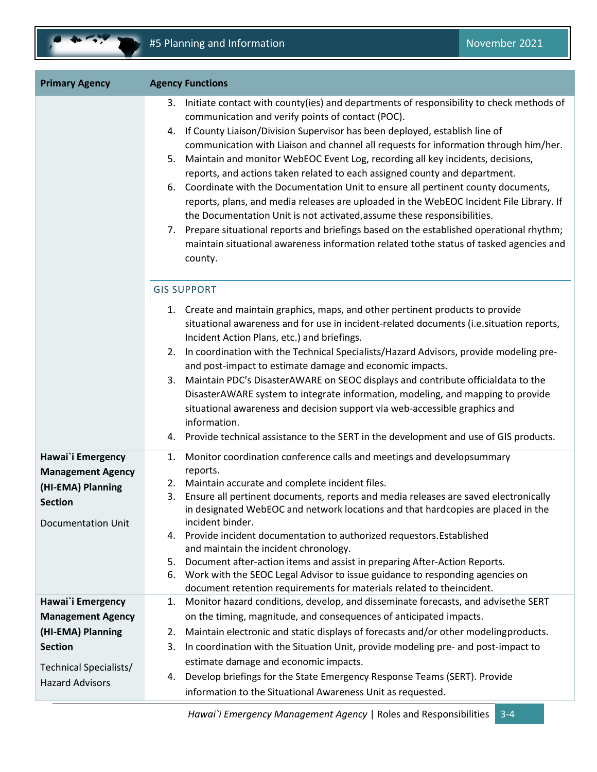| <b>Primary Agency</b>                                                                                                                    | <b>Agency Functions</b>                                                                                                                                                                                                                                                                                                                                                                                                                                                                                                                                                                                                                                                                                                                                                                                                                                                                                                                                          |  |  |
|------------------------------------------------------------------------------------------------------------------------------------------|------------------------------------------------------------------------------------------------------------------------------------------------------------------------------------------------------------------------------------------------------------------------------------------------------------------------------------------------------------------------------------------------------------------------------------------------------------------------------------------------------------------------------------------------------------------------------------------------------------------------------------------------------------------------------------------------------------------------------------------------------------------------------------------------------------------------------------------------------------------------------------------------------------------------------------------------------------------|--|--|
|                                                                                                                                          | 3. Initiate contact with county(ies) and departments of responsibility to check methods of<br>communication and verify points of contact (POC).<br>If County Liaison/Division Supervisor has been deployed, establish line of<br>4.<br>communication with Liaison and channel all requests for information through him/her.<br>Maintain and monitor WebEOC Event Log, recording all key incidents, decisions,<br>5.<br>reports, and actions taken related to each assigned county and department.<br>6. Coordinate with the Documentation Unit to ensure all pertinent county documents,<br>reports, plans, and media releases are uploaded in the WebEOC Incident File Library. If<br>the Documentation Unit is not activated, assume these responsibilities.<br>7. Prepare situational reports and briefings based on the established operational rhythm;<br>maintain situational awareness information related tothe status of tasked agencies and<br>county. |  |  |
|                                                                                                                                          | <b>GIS SUPPORT</b><br>1. Create and maintain graphics, maps, and other pertinent products to provide<br>situational awareness and for use in incident-related documents (i.e. situation reports,<br>Incident Action Plans, etc.) and briefings.<br>In coordination with the Technical Specialists/Hazard Advisors, provide modeling pre-<br>2.<br>and post-impact to estimate damage and economic impacts.<br>Maintain PDC's DisasterAWARE on SEOC displays and contribute officialdata to the<br>3.<br>DisasterAWARE system to integrate information, modeling, and mapping to provide<br>situational awareness and decision support via web-accessible graphics and<br>information.<br>4. Provide technical assistance to the SERT in the development and use of GIS products.                                                                                                                                                                                 |  |  |
| Hawai'i Emergency<br><b>Management Agency</b><br>(HI-EMA) Planning<br><b>Section</b><br><b>Documentation Unit</b>                        | Monitor coordination conference calls and meetings and developsummary<br>1.<br>reports.<br>Maintain accurate and complete incident files.<br>2.<br>Ensure all pertinent documents, reports and media releases are saved electronically<br>3.<br>in designated WebEOC and network locations and that hardcopies are placed in the<br>incident binder.<br>Provide incident documentation to authorized requestors. Established<br>4.<br>and maintain the incident chronology.<br>Document after-action items and assist in preparing After-Action Reports.<br>5.<br>6. Work with the SEOC Legal Advisor to issue guidance to responding agencies on<br>document retention requirements for materials related to theincident.                                                                                                                                                                                                                                       |  |  |
| Hawai'i Emergency<br><b>Management Agency</b><br>(HI-EMA) Planning<br><b>Section</b><br>Technical Specialists/<br><b>Hazard Advisors</b> | Monitor hazard conditions, develop, and disseminate forecasts, and advisethe SERT<br>1.<br>on the timing, magnitude, and consequences of anticipated impacts.<br>Maintain electronic and static displays of forecasts and/or other modelingproducts.<br>2.<br>In coordination with the Situation Unit, provide modeling pre- and post-impact to<br>3.<br>estimate damage and economic impacts.<br>Develop briefings for the State Emergency Response Teams (SERT). Provide<br>4.<br>information to the Situational Awareness Unit as requested.                                                                                                                                                                                                                                                                                                                                                                                                                  |  |  |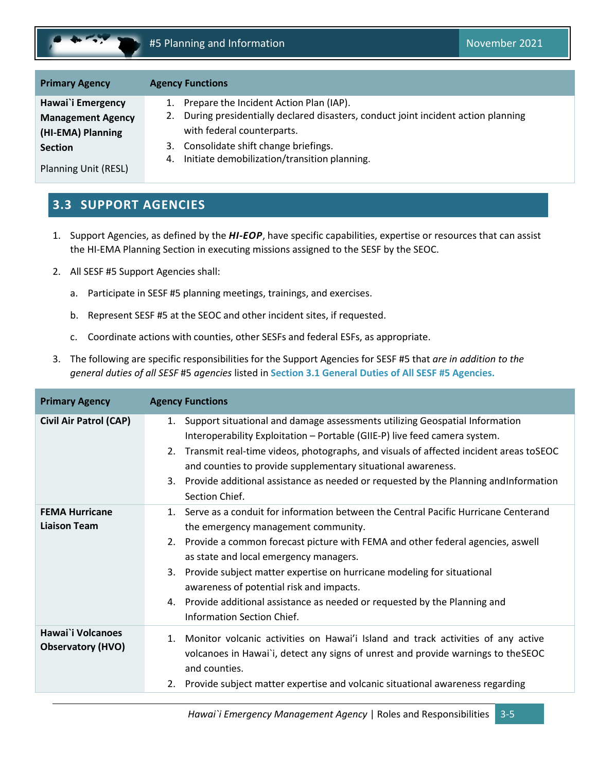<span id="page-10-1"></span>

| <b>Primary Agency</b>       | <b>Agency Functions</b>                                                                |
|-----------------------------|----------------------------------------------------------------------------------------|
| Hawai`i Emergency           | Prepare the Incident Action Plan (IAP).                                                |
| <b>Management Agency</b>    | During presidentially declared disasters, conduct joint incident action planning<br>2. |
| (HI-EMA) Planning           | with federal counterparts.                                                             |
| <b>Section</b>              | Consolidate shift change briefings.<br>3.                                              |
| <b>Planning Unit (RESL)</b> | Initiate demobilization/transition planning.<br>4.                                     |

### <span id="page-10-0"></span>**3.3 SUPPORT AGENCIES**

- 1. Support Agencies, as defined by the *HI-EOP*, have specific capabilities, expertise or resources that can assist the HI-EMA Planning Section in executing missions assigned to the SESF by the SEOC.
- 2. All SESF #5 Support Agencies shall:
	- a. Participate in SESF #5 planning meetings, trainings, and exercises.
	- b. Represent SESF #5 at the SEOC and other incident sites, if requested.
	- c. Coordinate actions with counties, other SESFs and federal ESFs, as appropriate.
- 3. The following are specific responsibilities for the Support Agencies for SESF #5 that *are in addition to the general duties of all SESF* #5 *agencies* listed in **Section [3.1](#page-6-1) [General Duties of All SESF #5](#page-6-1) Agencies.**

| <b>Primary Agency</b>                         | <b>Agency Functions</b>                                                                                                                                                                                                                                                                                                                                                                                                                                                                              |
|-----------------------------------------------|------------------------------------------------------------------------------------------------------------------------------------------------------------------------------------------------------------------------------------------------------------------------------------------------------------------------------------------------------------------------------------------------------------------------------------------------------------------------------------------------------|
| <b>Civil Air Patrol (CAP)</b>                 | Support situational and damage assessments utilizing Geospatial Information<br>1.<br>Interoperability Exploitation - Portable (GIIE-P) live feed camera system.<br>2. Transmit real-time videos, photographs, and visuals of affected incident areas toSEOC<br>and counties to provide supplementary situational awareness.<br>3. Provide additional assistance as needed or requested by the Planning and Information<br>Section Chief.                                                             |
| <b>FEMA Hurricane</b><br><b>Liaison Team</b>  | 1. Serve as a conduit for information between the Central Pacific Hurricane Centerand<br>the emergency management community.<br>2. Provide a common forecast picture with FEMA and other federal agencies, aswell<br>as state and local emergency managers.<br>Provide subject matter expertise on hurricane modeling for situational<br>3.<br>awareness of potential risk and impacts.<br>4. Provide additional assistance as needed or requested by the Planning and<br>Information Section Chief. |
| Hawai`i Volcanoes<br><b>Observatory (HVO)</b> | Monitor volcanic activities on Hawai'i Island and track activities of any active<br>1.<br>volcanoes in Hawai'i, detect any signs of unrest and provide warnings to the SEOC<br>and counties.<br>Provide subject matter expertise and volcanic situational awareness regarding<br>2.                                                                                                                                                                                                                  |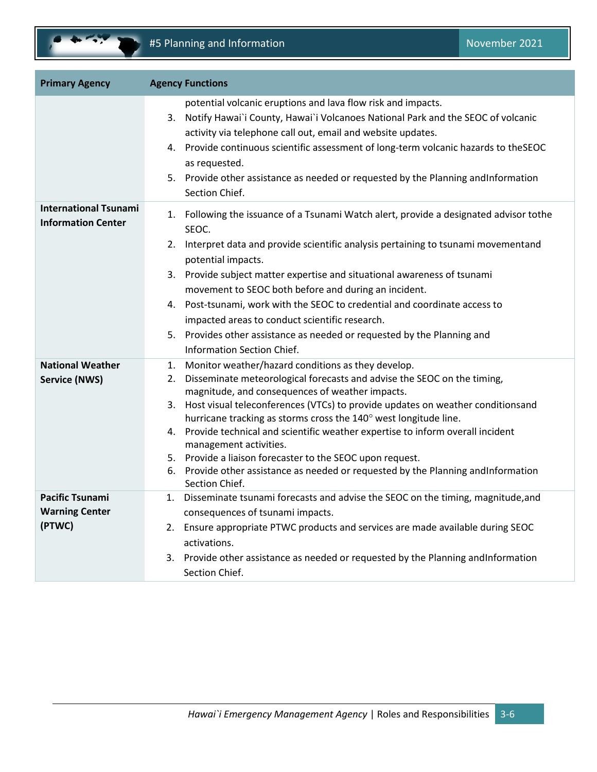

| <b>Primary Agency</b>                                     | <b>Agency Functions</b>                                                                                                                                                                                                                                                                                                                                                                                                                                                                                                                                                                                                            |
|-----------------------------------------------------------|------------------------------------------------------------------------------------------------------------------------------------------------------------------------------------------------------------------------------------------------------------------------------------------------------------------------------------------------------------------------------------------------------------------------------------------------------------------------------------------------------------------------------------------------------------------------------------------------------------------------------------|
|                                                           | potential volcanic eruptions and lava flow risk and impacts.<br>3. Notify Hawai`i County, Hawai`i Volcanoes National Park and the SEOC of volcanic<br>activity via telephone call out, email and website updates.<br>4. Provide continuous scientific assessment of long-term volcanic hazards to the SEOC<br>as requested.<br>5. Provide other assistance as needed or requested by the Planning and Information<br>Section Chief.                                                                                                                                                                                                |
| <b>International Tsunami</b><br><b>Information Center</b> | 1. Following the issuance of a Tsunami Watch alert, provide a designated advisor tothe<br>SEOC.<br>2. Interpret data and provide scientific analysis pertaining to tsunami movementand<br>potential impacts.<br>3. Provide subject matter expertise and situational awareness of tsunami<br>movement to SEOC both before and during an incident.<br>4. Post-tsunami, work with the SEOC to credential and coordinate access to<br>impacted areas to conduct scientific research.<br>5. Provides other assistance as needed or requested by the Planning and<br><b>Information Section Chief.</b>                                   |
| <b>National Weather</b><br><b>Service (NWS)</b>           | 1. Monitor weather/hazard conditions as they develop.<br>2. Disseminate meteorological forecasts and advise the SEOC on the timing,<br>magnitude, and consequences of weather impacts.<br>3. Host visual teleconferences (VTCs) to provide updates on weather conditionsand<br>hurricane tracking as storms cross the 140° west longitude line.<br>4. Provide technical and scientific weather expertise to inform overall incident<br>management activities.<br>5. Provide a liaison forecaster to the SEOC upon request.<br>6. Provide other assistance as needed or requested by the Planning and Information<br>Section Chief. |
| <b>Pacific Tsunami</b><br><b>Warning Center</b><br>(PTWC) | Disseminate tsunami forecasts and advise the SEOC on the timing, magnitude, and<br>1.<br>consequences of tsunami impacts.<br>Ensure appropriate PTWC products and services are made available during SEOC<br>2.<br>activations.<br>Provide other assistance as needed or requested by the Planning and Information<br>3.<br>Section Chief.                                                                                                                                                                                                                                                                                         |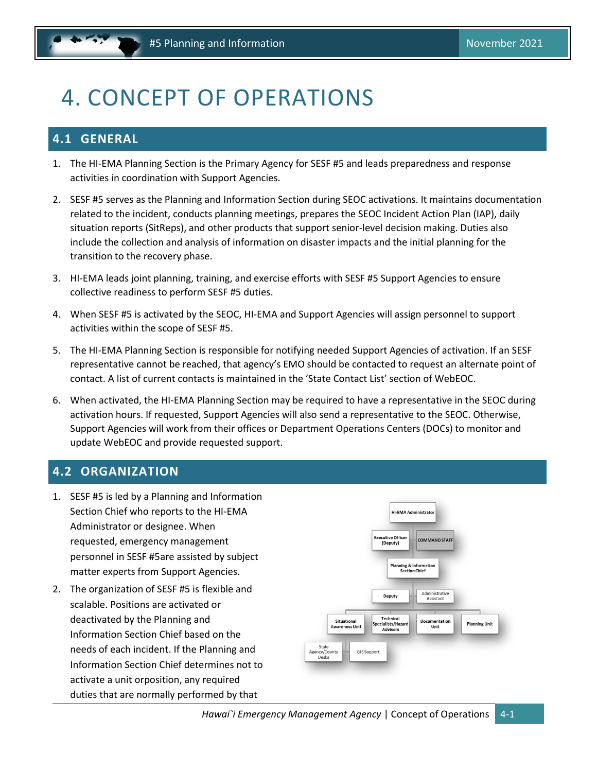# <span id="page-12-3"></span><span id="page-12-0"></span>4. CONCEPT OF OPERATIONS

### <span id="page-12-1"></span>**4.1 GENERAL**

- 1. The HI-EMA Planning Section is the Primary Agency for SESF #5 and leads preparedness and response activities in coordination with Support Agencies.
- 2. SESF #5 serves as the Planning and Information Section during SEOC activations. It maintains documentation related to the incident, conducts planning meetings, prepares the SEOC Incident Action Plan (IAP), daily situation reports (SitReps), and other products that support senior-level decision making. Duties also include the collection and analysis of information on disaster impacts and the initial planning for the transition to the recovery phase.
- 3. HI-EMA leads joint planning, training, and exercise efforts with SESF #5 Support Agencies to ensure collective readiness to perform SESF #5 duties.
- 4. When SESF #5 is activated by the SEOC, HI-EMA and Support Agencies will assign personnel to support activities within the scope of SESF #5.
- 5. The HI-EMA Planning Section is responsible for notifying needed Support Agencies of activation. If an SESF representative cannot be reached, that agency's EMO should be contacted to request an alternate point of contact. A list of current contacts is maintained in the 'State Contact List' section of WebEOC.
- 6. When activated, the HI-EMA Planning Section may be required to have a representative in the SEOC during activation hours. If requested, Support Agencies will also send a representative to the SEOC. Otherwise, Support Agencies will work from their offices or Department Operations Centers (DOCs) to monitor and update WebEOC and provide requested support.

### <span id="page-12-2"></span>**4.2 ORGANIZATION**

- 1. SESF #5 is led by a Planning and Information Section Chief who reports to the HI-EMA Administrator or designee. When requested, emergency management personnel in SESF #5are assisted by subject matter experts from Support Agencies.
- 2. The organization of SESF #5 is flexible and scalable. Positions are activated or deactivated by the Planning and Information Section Chief based on the needs of each incident. If the Planning and Information Section Chief determines not to activate a unit orposition, any required duties that are normally performed by that

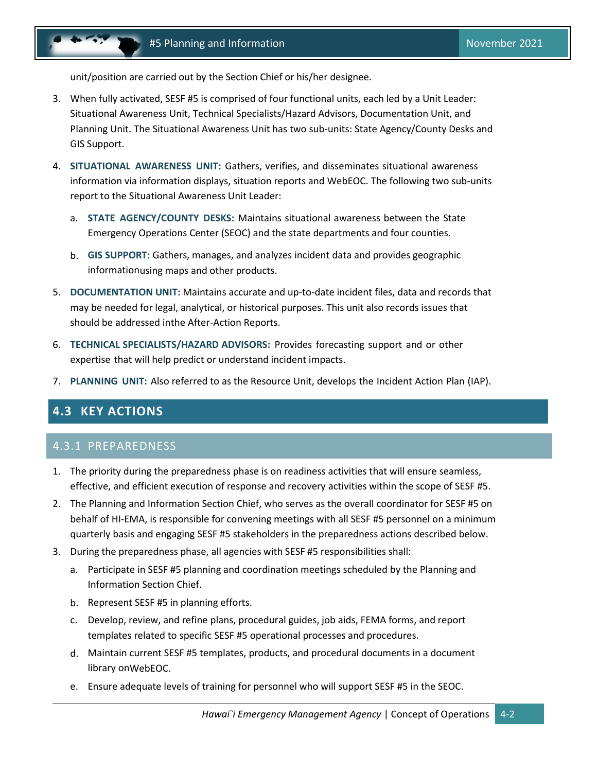<span id="page-13-1"></span>unit/position are carried out by the Section Chief or his/her designee.

- 3. When fully activated, SESF #5 is comprised of four functional units, each led by a Unit Leader: Situational Awareness Unit, Technical Specialists/Hazard Advisors, Documentation Unit, and Planning Unit. The Situational Awareness Unit has two sub-units: State Agency/County Desks and GIS Support.
- 4. **SITUATIONAL AWARENESS UNIT:** Gathers, verifies, and disseminates situational awareness information via information displays, situation reports and WebEOC. The following two sub-units report to the Situational Awareness Unit Leader:
	- a. **STATE AGENCY/COUNTY DESKS:** Maintains situational awareness between the State Emergency Operations Center (SEOC) and the state departments and four counties.
	- b. **GIS SUPPORT:** Gathers, manages, and analyzes incident data and provides geographic informationusing maps and other products.
- 5. **DOCUMENTATION UNIT:** Maintains accurate and up-to-date incident files, data and records that may be needed for legal, analytical, or historical purposes. This unit also records issues that should be addressed inthe After-Action Reports.
- 6. **TECHNICAL SPECIALISTS/HAZARD ADVISORS:** Provides forecasting support and or other expertise that will help predict or understand incident impacts.
- <span id="page-13-0"></span>7. **PLANNING UNIT:** Also referred to as the Resource Unit, develops the Incident Action Plan (IAP).

### **4.3 KEY ACTIONS**

#### 4.3.1 PREPAREDNESS

- 1. The priority during the preparedness phase is on readiness activities that will ensure seamless, effective, and efficient execution of response and recovery activities within the scope of SESF #5.
- 2. The Planning and Information Section Chief, who serves as the overall coordinator for SESF #5 on behalf of HI-EMA, is responsible for convening meetings with all SESF #5 personnel on a minimum quarterly basis and engaging SESF #5 stakeholders in the preparedness actions described below.
- 3. During the preparedness phase, all agencies with SESF #5 responsibilities shall:
	- a. Participate in SESF #5 planning and coordination meetings scheduled by the Planning and Information Section Chief.
	- b. Represent SESF #5 in planning efforts.
	- c. Develop, review, and refine plans, procedural guides, job aids, FEMA forms, and report templates related to specific SESF #5 operational processes and procedures.
	- d. Maintain current SESF #5 templates, products, and procedural documents in a document library onWebEOC.
	- e. Ensure adequate levels of training for personnel who will support SESF #5 in the SEOC.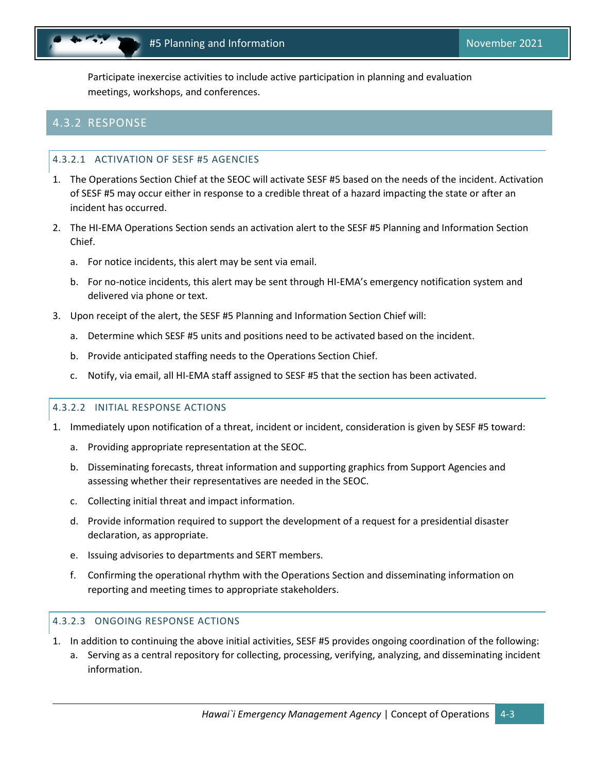Participate inexercise activities to include active participation in planning and evaluation meetings, workshops, and conferences.

### 4.3.2 RESPONSE

#### 4.3.2.1 ACTIVATION OF SESF #5 AGENCIES

- 1. The Operations Section Chief at the SEOC will activate SESF #5 based on the needs of the incident. Activation of SESF #5 may occur either in response to a credible threat of a hazard impacting the state or after an incident has occurred.
- 2. The HI-EMA Operations Section sends an activation alert to the SESF #5 Planning and Information Section Chief.
	- a. For notice incidents, this alert may be sent via email.
	- b. For no-notice incidents, this alert may be sent through HI-EMA's emergency notification system and delivered via phone or text.
- 3. Upon receipt of the alert, the SESF #5 Planning and Information Section Chief will:
	- a. Determine which SESF #5 units and positions need to be activated based on the incident.
	- b. Provide anticipated staffing needs to the Operations Section Chief.
	- c. Notify, via email, all HI-EMA staff assigned to SESF #5 that the section has been activated.

#### 4.3.2.2 INITIAL RESPONSE ACTIONS

- 1. Immediately upon notification of a threat, incident or incident, consideration is given by SESF #5 toward:
	- a. Providing appropriate representation at the SEOC.
	- b. Disseminating forecasts, threat information and supporting graphics from Support Agencies and assessing whether their representatives are needed in the SEOC.
	- c. Collecting initial threat and impact information.
	- d. Provide information required to support the development of a request for a presidential disaster declaration, as appropriate.
	- e. Issuing advisories to departments and SERT members.
	- f. Confirming the operational rhythm with the Operations Section and disseminating information on reporting and meeting times to appropriate stakeholders.

#### 4.3.2.3 ONGOING RESPONSE ACTIONS

- 1. In addition to continuing the above initial activities, SESF #5 provides ongoing coordination of the following:
	- a. Serving as a central repository for collecting, processing, verifying, analyzing, and disseminating incident information.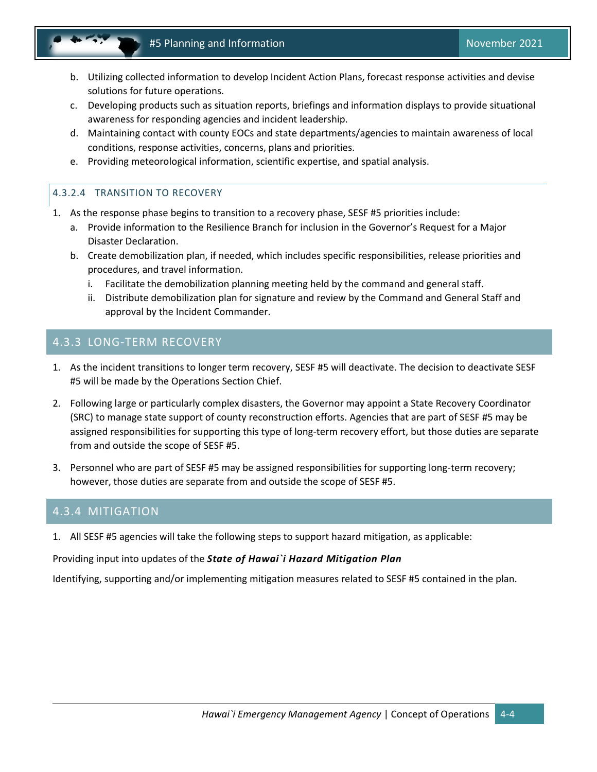- b. Utilizing collected information to develop Incident Action Plans, forecast response activities and devise solutions for future operations.
- c. Developing products such as situation reports, briefings and information displays to provide situational awareness for responding agencies and incident leadership.
- d. Maintaining contact with county EOCs and state departments/agencies to maintain awareness of local conditions, response activities, concerns, plans and priorities.
- e. Providing meteorological information, scientific expertise, and spatial analysis.

#### 4.3.2.4 TRANSITION TO RECOVERY

- 1. As the response phase begins to transition to a recovery phase, SESF #5 priorities include:
	- a. Provide information to the Resilience Branch for inclusion in the Governor's Request for a Major Disaster Declaration.
	- b. Create demobilization plan, if needed, which includes specific responsibilities, release priorities and procedures, and travel information.
		- i. Facilitate the demobilization planning meeting held by the command and general staff.
		- ii. Distribute demobilization plan for signature and review by the Command and General Staff and approval by the Incident Commander.

#### 4.3.3 LONG-TERM RECOVERY

- 1. As the incident transitions to longer term recovery, SESF #5 will deactivate. The decision to deactivate SESF #5 will be made by the Operations Section Chief.
- 2. Following large or particularly complex disasters, the Governor may appoint a State Recovery Coordinator (SRC) to manage state support of county reconstruction efforts. Agencies that are part of SESF #5 may be assigned responsibilities for supporting this type of long-term recovery effort, but those duties are separate from and outside the scope of SESF #5.
- 3. Personnel who are part of SESF #5 may be assigned responsibilities for supporting long-term recovery; however, those duties are separate from and outside the scope of SESF #5.

#### 4.3.4 MITIGATION

1. All SESF #5 agencies will take the following steps to support hazard mitigation, as applicable:

#### Providing input into updates of the *State of Hawai`i Hazard Mitigation Plan*

Identifying, supporting and/or implementing mitigation measures related to SESF #5 contained in the plan.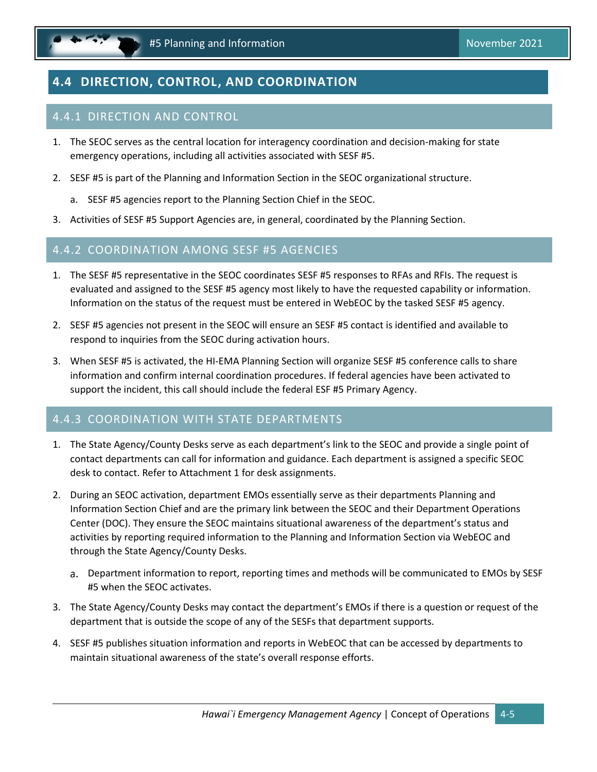<span id="page-16-1"></span>

# <span id="page-16-0"></span>**4.4 DIRECTION, CONTROL, AND COORDINATION**

### 4.4.1 DIRECTION AND CONTROL

- 1. The SEOC serves as the central location for interagency coordination and decision-making for state emergency operations, including all activities associated with SESF #5.
- 2. SESF #5 is part of the Planning and Information Section in the SEOC organizational structure.
	- a. SESF #5 agencies report to the Planning Section Chief in the SEOC.
- 3. Activities of SESF #5 Support Agencies are, in general, coordinated by the Planning Section.

#### 4.4.2 COORDINATION AMONG SESF #5 AGENCIES

- 1. The SESF #5 representative in the SEOC coordinates SESF #5 responses to RFAs and RFIs. The request is evaluated and assigned to the SESF #5 agency most likely to have the requested capability or information. Information on the status of the request must be entered in WebEOC by the tasked SESF #5 agency.
- 2. SESF #5 agencies not present in the SEOC will ensure an SESF #5 contact is identified and available to respond to inquiries from the SEOC during activation hours.
- 3. When SESF #5 is activated, the HI-EMA Planning Section will organize SESF #5 conference calls to share information and confirm internal coordination procedures. If federal agencies have been activated to support the incident, this call should include the federal ESF #5 Primary Agency.

### 4.4.3 COORDINATION WITH STATE DEPARTMENTS

- 1. The State Agency/County Desks serve as each department's link to the SEOC and provide a single point of contact departments can call for information and guidance. Each department is assigned a specific SEOC desk to contact. Refer to Attachment 1 for desk assignments.
- 2. During an SEOC activation, department EMOs essentially serve as their departments Planning and Information Section Chief and are the primary link between the SEOC and their Department Operations Center (DOC). They ensure the SEOC maintains situational awareness of the department's status and activities by reporting required information to the Planning and Information Section via WebEOC and through the State Agency/County Desks.
	- a. Department information to report, reporting times and methods will be communicated to EMOs by SESF #5 when the SEOC activates.
- 3. The State Agency/County Desks may contact the department's EMOs if there is a question or request of the department that is outside the scope of any of the SESFs that department supports.
- 4. SESF #5 publishes situation information and reports in WebEOC that can be accessed by departments to maintain situational awareness of the state's overall response efforts.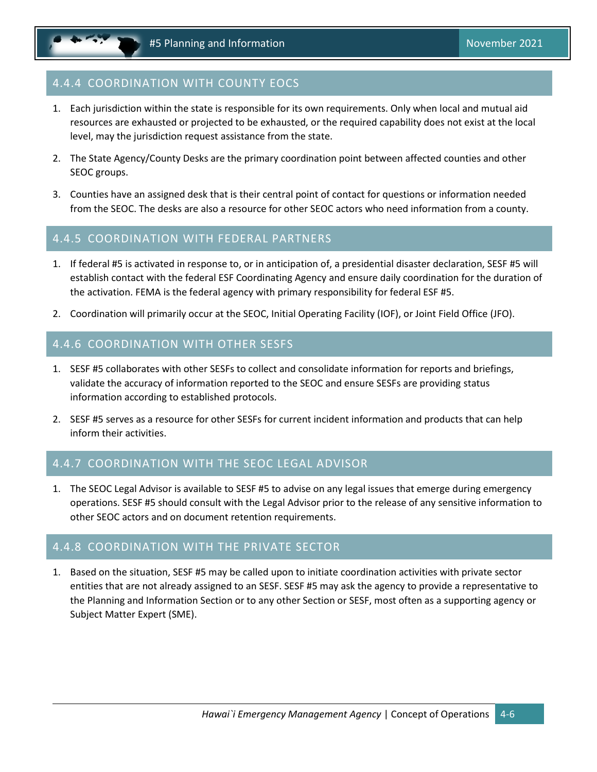### 4.4.4 COORDINATION WITH COUNTY EOCS

- 1. Each jurisdiction within the state is responsible for its own requirements. Only when local and mutual aid resources are exhausted or projected to be exhausted, or the required capability does not exist at the local level, may the jurisdiction request assistance from the state.
- 2. The State Agency/County Desks are the primary coordination point between affected counties and other SEOC groups.
- 3. Counties have an assigned desk that is their central point of contact for questions or information needed from the SEOC. The desks are also a resource for other SEOC actors who need information from a county.

#### 4.4.5 COORDINATION WITH FEDERAL PARTNERS

- 1. If federal #5 is activated in response to, or in anticipation of, a presidential disaster declaration, SESF #5 will establish contact with the federal ESF Coordinating Agency and ensure daily coordination for the duration of the activation. FEMA is the federal agency with primary responsibility for federal ESF #5.
- 2. Coordination will primarily occur at the SEOC, Initial Operating Facility (IOF), or Joint Field Office (JFO).

#### 4.4.6 COORDINATION WITH OTHER SESFS

- 1. SESF #5 collaborates with other SESFs to collect and consolidate information for reports and briefings, validate the accuracy of information reported to the SEOC and ensure SESFs are providing status information according to established protocols.
- 2. SESF #5 serves as a resource for other SESFs for current incident information and products that can help inform their activities.

### 4.4.7 COORDINATION WITH THE SEOC LEGAL ADVISOR

1. The SEOC Legal Advisor is available to SESF #5 to advise on any legal issues that emerge during emergency operations. SESF #5 should consult with the Legal Advisor prior to the release of any sensitive information to other SEOC actors and on document retention requirements.

#### 4.4.8 COORDINATION WITH THE PRIVATE SECTOR

1. Based on the situation, SESF #5 may be called upon to initiate coordination activities with private sector entities that are not already assigned to an SESF. SESF #5 may ask the agency to provide a representative to the Planning and Information Section or to any other Section or SESF, most often as a supporting agency or Subject Matter Expert (SME).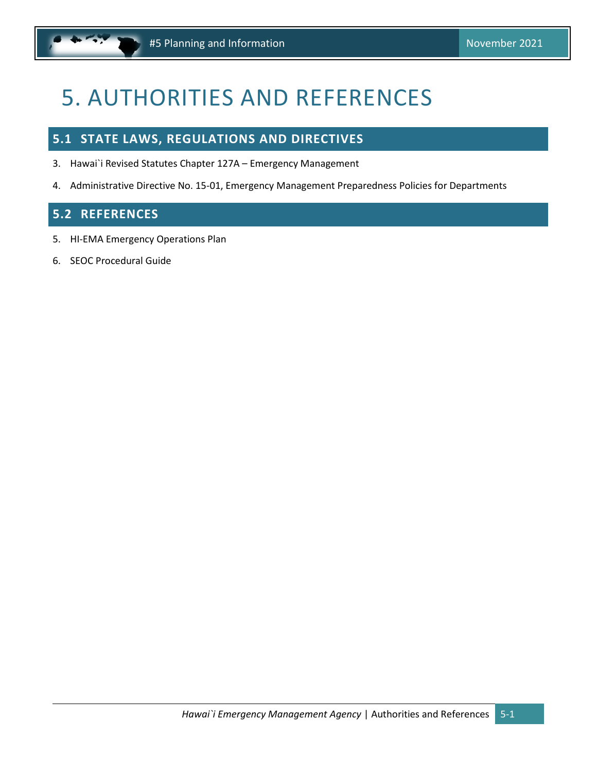# <span id="page-18-3"></span><span id="page-18-0"></span>5. AUTHORITIES AND REFERENCES

## <span id="page-18-1"></span>**5.1 STATE LAWS, REGULATIONS AND DIRECTIVES**

- 3. Hawai`i Revised Statutes Chapter 127A Emergency Management
- 4. Administrative Directive No. 15-01, Emergency Management Preparedness Policies for Departments

### <span id="page-18-2"></span>**5.2 REFERENCES**

- 5. HI-EMA Emergency Operations Plan
- 6. SEOC Procedural Guide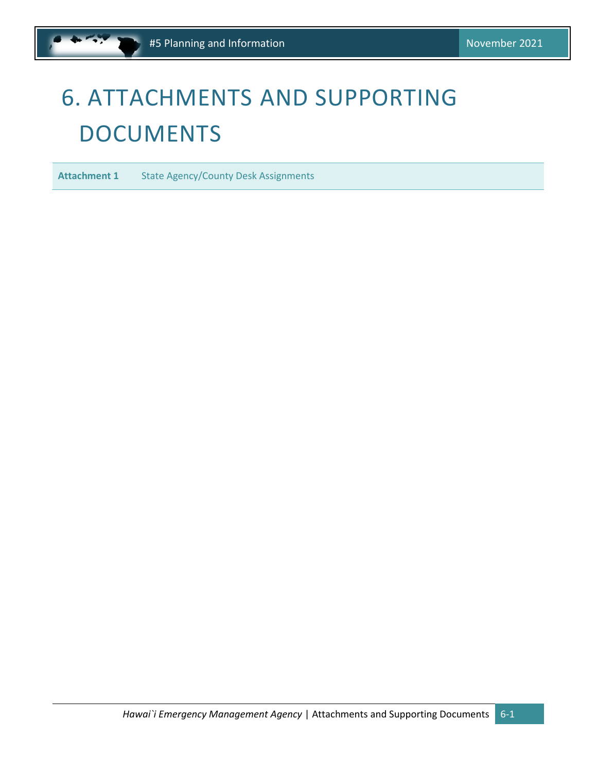# <span id="page-19-1"></span><span id="page-19-0"></span>6. ATTACHMENTS AND SUPPORTING DOCUMENTS

**Attachment 1** State Agency/County Desk Assignments